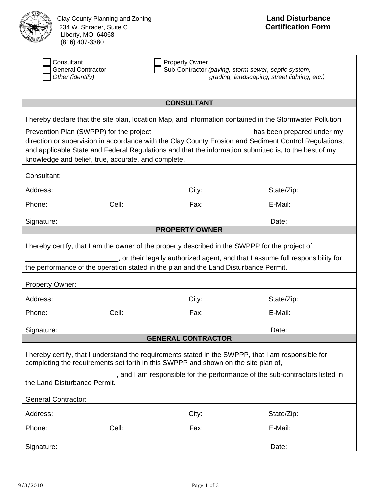

Clay County Planning and Zoning<br>
234 W. Shrader, Suite C<br>
234 W. Shrader, Suite C 234 W. Shrader, Suite C Liberty, MO 64068  $(816)$  407-3380

|                                                                                                                                                                                                                                                                                                                                                | Consultant<br><b>Property Owner</b><br><b>General Contractor</b><br>Sub-Contractor (paving, storm sewer, septic system,<br>Other (identify)<br>grading, landscaping, street lighting, etc.) |                           |            |  |  |  |  |
|------------------------------------------------------------------------------------------------------------------------------------------------------------------------------------------------------------------------------------------------------------------------------------------------------------------------------------------------|---------------------------------------------------------------------------------------------------------------------------------------------------------------------------------------------|---------------------------|------------|--|--|--|--|
|                                                                                                                                                                                                                                                                                                                                                |                                                                                                                                                                                             |                           |            |  |  |  |  |
| <b>CONSULTANT</b>                                                                                                                                                                                                                                                                                                                              |                                                                                                                                                                                             |                           |            |  |  |  |  |
| I hereby declare that the site plan, location Map, and information contained in the Stormwater Pollution                                                                                                                                                                                                                                       |                                                                                                                                                                                             |                           |            |  |  |  |  |
| Prevention Plan (SWPPP) for the project<br>has been prepared under my<br>direction or supervision in accordance with the Clay County Erosion and Sediment Control Regulations,<br>and applicable State and Federal Regulations and that the information submitted is, to the best of my<br>knowledge and belief, true, accurate, and complete. |                                                                                                                                                                                             |                           |            |  |  |  |  |
| Consultant:                                                                                                                                                                                                                                                                                                                                    |                                                                                                                                                                                             |                           |            |  |  |  |  |
| Address:                                                                                                                                                                                                                                                                                                                                       |                                                                                                                                                                                             | City:                     | State/Zip: |  |  |  |  |
| Phone:                                                                                                                                                                                                                                                                                                                                         | Cell:                                                                                                                                                                                       | Fax:                      | E-Mail:    |  |  |  |  |
| Signature:                                                                                                                                                                                                                                                                                                                                     |                                                                                                                                                                                             |                           | Date:      |  |  |  |  |
|                                                                                                                                                                                                                                                                                                                                                |                                                                                                                                                                                             | <b>PROPERTY OWNER</b>     |            |  |  |  |  |
| I hereby certify, that I am the owner of the property described in the SWPPP for the project of,<br>or their legally authorized agent, and that I assume full responsibility for<br>the performance of the operation stated in the plan and the Land Disturbance Permit.                                                                       |                                                                                                                                                                                             |                           |            |  |  |  |  |
| <b>Property Owner:</b>                                                                                                                                                                                                                                                                                                                         |                                                                                                                                                                                             |                           |            |  |  |  |  |
| Address:                                                                                                                                                                                                                                                                                                                                       |                                                                                                                                                                                             | City:                     | State/Zip: |  |  |  |  |
| Phone:                                                                                                                                                                                                                                                                                                                                         | Cell:                                                                                                                                                                                       | Fax:                      | E-Mail:    |  |  |  |  |
| Signature:                                                                                                                                                                                                                                                                                                                                     |                                                                                                                                                                                             |                           | Date:      |  |  |  |  |
|                                                                                                                                                                                                                                                                                                                                                |                                                                                                                                                                                             | <b>GENERAL CONTRACTOR</b> |            |  |  |  |  |
| I hereby certify, that I understand the requirements stated in the SWPPP, that I am responsible for<br>completing the requirements set forth in this SWPPP and shown on the site plan of,                                                                                                                                                      |                                                                                                                                                                                             |                           |            |  |  |  |  |
| _, and I am responsible for the performance of the sub-contractors listed in<br>the Land Disturbance Permit.                                                                                                                                                                                                                                   |                                                                                                                                                                                             |                           |            |  |  |  |  |
| <b>General Contractor:</b>                                                                                                                                                                                                                                                                                                                     |                                                                                                                                                                                             |                           |            |  |  |  |  |
| Address:                                                                                                                                                                                                                                                                                                                                       |                                                                                                                                                                                             | City:                     | State/Zip: |  |  |  |  |
| Phone:                                                                                                                                                                                                                                                                                                                                         | Cell:                                                                                                                                                                                       | Fax:                      | E-Mail:    |  |  |  |  |
| Signature:                                                                                                                                                                                                                                                                                                                                     |                                                                                                                                                                                             |                           | Date:      |  |  |  |  |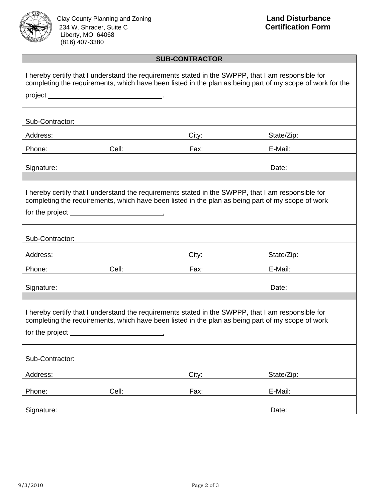

Clay County Planning and Zoning<br>
234 W. Shrader, Suite C<br>
234 W. Shrader, Suite C 234 W. Shrader, Suite C Liberty, MO 64068  $(816)$  407-3380

## **SUB-CONTRACTOR**

|                                                                                                                                                                                                                                |                                                                                                                                                                                                                                                                                                                                                                                               |                                                                                                                                                                                                                                | I hereby certify that I understand the requirements stated in the SWPPP, that I am responsible for<br>completing the requirements, which have been listed in the plan as being part of my scope of work for the |  |  |
|--------------------------------------------------------------------------------------------------------------------------------------------------------------------------------------------------------------------------------|-----------------------------------------------------------------------------------------------------------------------------------------------------------------------------------------------------------------------------------------------------------------------------------------------------------------------------------------------------------------------------------------------|--------------------------------------------------------------------------------------------------------------------------------------------------------------------------------------------------------------------------------|-----------------------------------------------------------------------------------------------------------------------------------------------------------------------------------------------------------------|--|--|
|                                                                                                                                                                                                                                |                                                                                                                                                                                                                                                                                                                                                                                               |                                                                                                                                                                                                                                |                                                                                                                                                                                                                 |  |  |
| Sub-Contractor:                                                                                                                                                                                                                |                                                                                                                                                                                                                                                                                                                                                                                               |                                                                                                                                                                                                                                |                                                                                                                                                                                                                 |  |  |
|                                                                                                                                                                                                                                |                                                                                                                                                                                                                                                                                                                                                                                               | City:                                                                                                                                                                                                                          | State/Zip:                                                                                                                                                                                                      |  |  |
| Phone: and the state of the state of the state of the state of the state of the state of the state of the state of the state of the state of the state of the state of the state of the state of the state of the state of the | <b>Cell: Cell</b> : <b>Cell</b> : <b>Cell</b> : <b>Cell</b> : <b>Cell</b> : <b>Cell</b> : <b>Cell</b> : <b>Cell</b> : <b>Cell</b> : <b>Cell</b> : <b>Cell</b> : <b>Cell</b> : <b>Cell</b> : <b>Cell</b> : <b>Cell</b> : <b>Cell</b> : <b>Cell</b> : <b>Cell</b> : <b>Cell</b> : <b>Cell</b> : <b>Cell</b> : <b>Cell</b> : <b>Cell</b> : <b>Cell</b> : <b>Cell</b> : <b>Cell</b> : <b>Cell</b> | Fax: Exercise of the state of the state of the state of the state of the state of the state of the state of the                                                                                                                | E-Mail:                                                                                                                                                                                                         |  |  |
| Signature:                                                                                                                                                                                                                     |                                                                                                                                                                                                                                                                                                                                                                                               |                                                                                                                                                                                                                                | Date:                                                                                                                                                                                                           |  |  |
|                                                                                                                                                                                                                                |                                                                                                                                                                                                                                                                                                                                                                                               |                                                                                                                                                                                                                                |                                                                                                                                                                                                                 |  |  |
| I hereby certify that I understand the requirements stated in the SWPPP, that I am responsible for<br>completing the requirements, which have been listed in the plan as being part of my scope of work                        |                                                                                                                                                                                                                                                                                                                                                                                               |                                                                                                                                                                                                                                |                                                                                                                                                                                                                 |  |  |
|                                                                                                                                                                                                                                | for the project <u>substance of the project</u>                                                                                                                                                                                                                                                                                                                                               |                                                                                                                                                                                                                                |                                                                                                                                                                                                                 |  |  |
|                                                                                                                                                                                                                                |                                                                                                                                                                                                                                                                                                                                                                                               |                                                                                                                                                                                                                                |                                                                                                                                                                                                                 |  |  |
| Sub-Contractor:                                                                                                                                                                                                                |                                                                                                                                                                                                                                                                                                                                                                                               |                                                                                                                                                                                                                                |                                                                                                                                                                                                                 |  |  |
|                                                                                                                                                                                                                                |                                                                                                                                                                                                                                                                                                                                                                                               | City:                                                                                                                                                                                                                          | State/Zip:                                                                                                                                                                                                      |  |  |
| Phone:                                                                                                                                                                                                                         | Cell: <b>Communication</b>                                                                                                                                                                                                                                                                                                                                                                    | Fax: The Contract of the Contract of the Contract of the Contract of the Contract of the Contract of the Contract of the Contract of the Contract of the Contract of the Contract of the Contract of the Contract of the Contr | E-Mail:                                                                                                                                                                                                         |  |  |
| Signature:                                                                                                                                                                                                                     |                                                                                                                                                                                                                                                                                                                                                                                               |                                                                                                                                                                                                                                | Date:                                                                                                                                                                                                           |  |  |
|                                                                                                                                                                                                                                |                                                                                                                                                                                                                                                                                                                                                                                               |                                                                                                                                                                                                                                |                                                                                                                                                                                                                 |  |  |
| I hereby certify that I understand the requirements stated in the SWPPP, that I am responsible for<br>completing the requirements, which have been listed in the plan as being part of my scope of work                        |                                                                                                                                                                                                                                                                                                                                                                                               |                                                                                                                                                                                                                                |                                                                                                                                                                                                                 |  |  |
|                                                                                                                                                                                                                                |                                                                                                                                                                                                                                                                                                                                                                                               |                                                                                                                                                                                                                                |                                                                                                                                                                                                                 |  |  |
|                                                                                                                                                                                                                                |                                                                                                                                                                                                                                                                                                                                                                                               |                                                                                                                                                                                                                                |                                                                                                                                                                                                                 |  |  |
| Sub-Contractor:                                                                                                                                                                                                                |                                                                                                                                                                                                                                                                                                                                                                                               |                                                                                                                                                                                                                                |                                                                                                                                                                                                                 |  |  |
| Address:                                                                                                                                                                                                                       |                                                                                                                                                                                                                                                                                                                                                                                               | City:                                                                                                                                                                                                                          | State/Zip:                                                                                                                                                                                                      |  |  |
| Phone:                                                                                                                                                                                                                         | Cell:                                                                                                                                                                                                                                                                                                                                                                                         | Fax:                                                                                                                                                                                                                           | E-Mail:                                                                                                                                                                                                         |  |  |
| Signature:                                                                                                                                                                                                                     |                                                                                                                                                                                                                                                                                                                                                                                               |                                                                                                                                                                                                                                | Date:                                                                                                                                                                                                           |  |  |